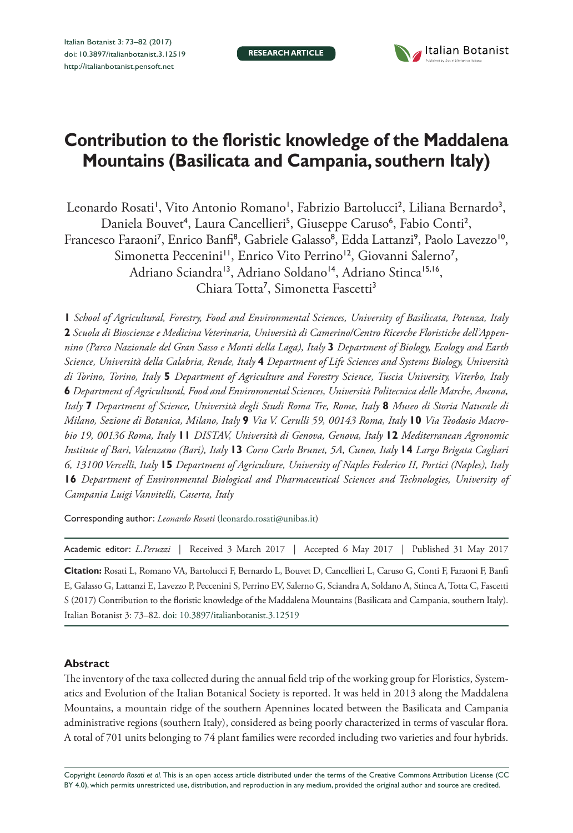

# **Contribution to the floristic knowledge of the Maddalena Mountains (Basilicata and Campania, southern Italy)**

Leonardo Rosati', Vito Antonio Romano', Fabrizio Bartolucci<sup>2</sup>, Liliana Bernardo<sup>3</sup>, Daniela Bouvet<sup>4</sup>, Laura Cancellieri<sup>5</sup>, Giuseppe Caruso<sup>6</sup>, Fabio Conti<sup>2</sup>, Francesco Faraoni<sup>7</sup>, Enrico Banfi<sup>8</sup>, Gabriele Galasso<sup>8</sup>, Edda Lattanzi<sup>9</sup>, Paolo Lavezzo<sup>10</sup>, Simonetta Peccenini<sup>11</sup>, Enrico Vito Perrino<sup>12</sup>, Giovanni Salerno<sup>7</sup>, Adriano Sciandra<sup>13</sup>, Adriano Soldano<sup>14</sup>, Adriano Stinca<sup>15,16</sup>, Chiara Totta<sup>7</sup>, Simonetta Fascetti<sup>3</sup>

**1** *School of Agricultural, Forestry, Food and Environmental Sciences, University of Basilicata, Potenza, Italy*  **2** *Scuola di Bioscienze e Medicina Veterinaria, Università di Camerino/Centro Ricerche Floristiche dell'Appennino (Parco Nazionale del Gran Sasso e Monti della Laga), Italy* **3** *Department of Biology, Ecology and Earth Science, Università della Calabria, Rende, Italy* **4** *Department of Life Sciences and Systems Biology, Università di Torino, Torino, Italy* **5** *Department of Agriculture and Forestry Science, Tuscia University, Viterbo, Italy*  **6** *Department of Agricultural, Food and Environmental Sciences, Università Politecnica delle Marche, Ancona, Italy* **7** *Department of Science, Università degli Studi Roma Tre, Rome, Italy* **8** *Museo di Storia Naturale di Milano, Sezione di Botanica, Milano, Italy* **9** *Via V. Cerulli 59, 00143 Roma, Italy* **10** *Via Teodosio Macrobio 19, 00136 Roma, Italy* **11** *DISTAV, Università di Genova, Genova, Italy* **12** *Mediterranean Agronomic Institute of Bari, Valenzano (Bari), Italy* **13** *Corso Carlo Brunet, 5A, Cuneo, Italy* **14** *Largo Brigata Cagliari 6, 13100 Vercelli, Italy* **15** *Department of Agriculture, University of Naples Federico II, Portici (Naples), Italy*  **16** *Department of Environmental Biological and Pharmaceutical Sciences and Technologies, University of Campania Luigi Vanvitelli, Caserta, Italy*

Corresponding author: *Leonardo Rosati* ([leonardo.rosati@unibas.it\)](mailto:leonardo.rosati@unibas.it)

| Academic editor: L. Peruzzi   Received 3 March 2017   Accepted 6 May 2017   Published 31 May 2017 |  |  |
|---------------------------------------------------------------------------------------------------|--|--|
|                                                                                                   |  |  |

**Citation:** Rosati L, Romano VA, Bartolucci F, Bernardo L, Bouvet D, Cancellieri L, Caruso G, Conti F, Faraoni F, Banfi E, Galasso G, Lattanzi E, Lavezzo P, Peccenini S, Perrino EV, Salerno G, Sciandra A, Soldano A, Stinca A, Totta C, Fascetti S (2017) Contribution to the floristic knowledge of the Maddalena Mountains (Basilicata and Campania, southern Italy). Italian Botanist 3: 73–82. [doi: 10.3897/italianbotanist.3.12519](https://doi.org/10.3897/italianbotanist.3.12519)

#### **Abstract**

The inventory of the taxa collected during the annual field trip of the working group for Floristics, Systematics and Evolution of the Italian Botanical Society is reported. It was held in 2013 along the Maddalena Mountains, a mountain ridge of the southern Apennines located between the Basilicata and Campania administrative regions (southern Italy), considered as being poorly characterized in terms of vascular flora. A total of 701 units belonging to 74 plant families were recorded including two varieties and four hybrids.

Copyright *Leonardo Rosati et al.* This is an open access article distributed under the terms of the [Creative Commons Attribution License \(CC](http://creativecommons.org/licenses/by/4.0/)  [BY 4.0\)](http://creativecommons.org/licenses/by/4.0/), which permits unrestricted use, distribution, and reproduction in any medium, provided the original author and source are credited.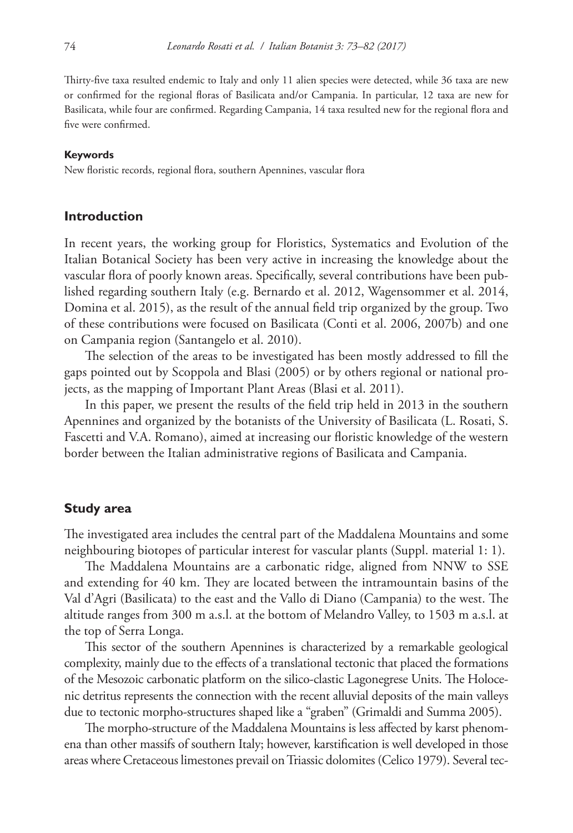Thirty-five taxa resulted endemic to Italy and only 11 alien species were detected, while 36 taxa are new or confirmed for the regional floras of Basilicata and/or Campania. In particular, 12 taxa are new for Basilicata, while four are confirmed. Regarding Campania, 14 taxa resulted new for the regional flora and five were confirmed.

#### **Keywords**

New floristic records, regional flora, southern Apennines, vascular flora

## **Introduction**

In recent years, the working group for Floristics, Systematics and Evolution of the Italian Botanical Society has been very active in increasing the knowledge about the vascular flora of poorly known areas. Specifically, several contributions have been published regarding southern Italy (e.g. Bernardo et al. 2012, Wagensommer et al. 2014, Domina et al. 2015), as the result of the annual field trip organized by the group. Two of these contributions were focused on Basilicata (Conti et al. 2006, 2007b) and one on Campania region (Santangelo et al. 2010).

The selection of the areas to be investigated has been mostly addressed to fill the gaps pointed out by Scoppola and Blasi (2005) or by others regional or national projects, as the mapping of Important Plant Areas (Blasi et al. 2011).

In this paper, we present the results of the field trip held in 2013 in the southern Apennines and organized by the botanists of the University of Basilicata (L. Rosati, S. Fascetti and V.A. Romano), aimed at increasing our floristic knowledge of the western border between the Italian administrative regions of Basilicata and Campania.

#### **Study area**

The investigated area includes the central part of the Maddalena Mountains and some neighbouring biotopes of particular interest for vascular plants (Suppl. material 1: 1).

The Maddalena Mountains are a carbonatic ridge, aligned from NNW to SSE and extending for 40 km. They are located between the intramountain basins of the Val d'Agri (Basilicata) to the east and the Vallo di Diano (Campania) to the west. The altitude ranges from 300 m a.s.l. at the bottom of Melandro Valley, to 1503 m a.s.l. at the top of Serra Longa.

This sector of the southern Apennines is characterized by a remarkable geological complexity, mainly due to the effects of a translational tectonic that placed the formations of the Mesozoic carbonatic platform on the silico-clastic Lagonegrese Units. The Holocenic detritus represents the connection with the recent alluvial deposits of the main valleys due to tectonic morpho-structures shaped like a "graben" (Grimaldi and Summa 2005).

The morpho-structure of the Maddalena Mountains is less affected by karst phenomena than other massifs of southern Italy; however, karstification is well developed in those areas where Cretaceous limestones prevail on Triassic dolomites (Celico 1979). Several tec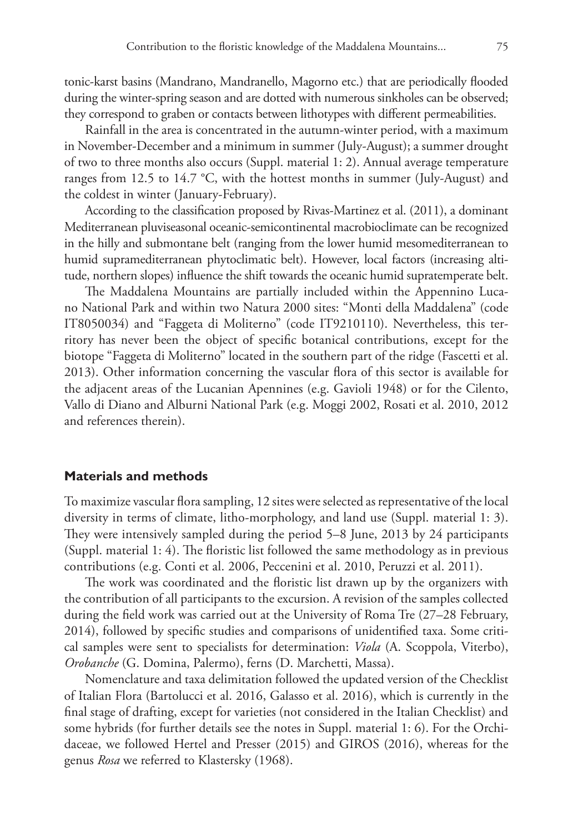tonic-karst basins (Mandrano, Mandranello, Magorno etc.) that are periodically flooded during the winter-spring season and are dotted with numerous sinkholes can be observed; they correspond to graben or contacts between lithotypes with different permeabilities.

Rainfall in the area is concentrated in the autumn-winter period, with a maximum in November-December and a minimum in summer (July-August); a summer drought of two to three months also occurs (Suppl. material 1: 2). Annual average temperature ranges from 12.5 to 14.7 °C, with the hottest months in summer (July-August) and the coldest in winter (January-February).

According to the classification proposed by Rivas-Martinez et al. (2011), a dominant Mediterranean pluviseasonal oceanic-semicontinental macrobioclimate can be recognized in the hilly and submontane belt (ranging from the lower humid mesomediterranean to humid supramediterranean phytoclimatic belt). However, local factors (increasing altitude, northern slopes) influence the shift towards the oceanic humid supratemperate belt.

The Maddalena Mountains are partially included within the Appennino Lucano National Park and within two Natura 2000 sites: "Monti della Maddalena" (code IT8050034) and "Faggeta di Moliterno" (code IT9210110). Nevertheless, this territory has never been the object of specific botanical contributions, except for the biotope "Faggeta di Moliterno" located in the southern part of the ridge (Fascetti et al. 2013). Other information concerning the vascular flora of this sector is available for the adjacent areas of the Lucanian Apennines (e.g. Gavioli 1948) or for the Cilento, Vallo di Diano and Alburni National Park (e.g. Moggi 2002, Rosati et al. 2010, 2012 and references therein).

## **Materials and methods**

To maximize vascular flora sampling, 12 sites were selected as representative of the local diversity in terms of climate, litho-morphology, and land use (Suppl. material 1: 3). They were intensively sampled during the period 5–8 June, 2013 by 24 participants (Suppl. material 1: 4). The floristic list followed the same methodology as in previous contributions (e.g. Conti et al. 2006, Peccenini et al. 2010, Peruzzi et al. 2011).

The work was coordinated and the floristic list drawn up by the organizers with the contribution of all participants to the excursion. A revision of the samples collected during the field work was carried out at the University of Roma Tre (27–28 February, 2014), followed by specific studies and comparisons of unidentified taxa. Some critical samples were sent to specialists for determination: *Viola* (A. Scoppola, Viterbo), *Orobanche* (G. Domina, Palermo), ferns (D. Marchetti, Massa).

Nomenclature and taxa delimitation followed the updated version of the Checklist of Italian Flora (Bartolucci et al. 2016, Galasso et al. 2016), which is currently in the final stage of drafting, except for varieties (not considered in the Italian Checklist) and some hybrids (for further details see the notes in Suppl. material 1: 6). For the Orchidaceae, we followed Hertel and Presser (2015) and GIROS (2016), whereas for the genus *Rosa* we referred to Klastersky (1968).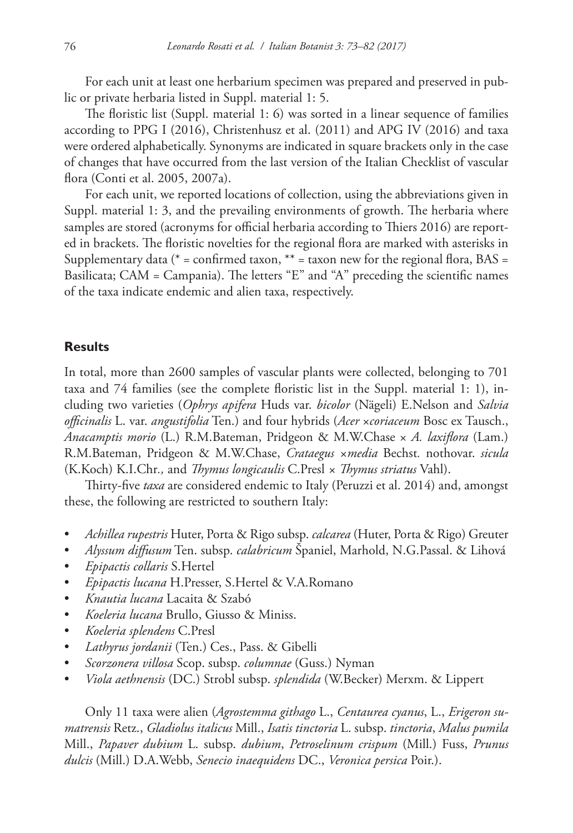For each unit at least one herbarium specimen was prepared and preserved in public or private herbaria listed in Suppl. material 1: 5.

The floristic list (Suppl. material 1: 6) was sorted in a linear sequence of families according to PPG I (2016), Christenhusz et al. (2011) and APG IV (2016) and taxa were ordered alphabetically. Synonyms are indicated in square brackets only in the case of changes that have occurred from the last version of the Italian Checklist of vascular flora (Conti et al. 2005, 2007a).

For each unit, we reported locations of collection, using the abbreviations given in Suppl. material 1: 3, and the prevailing environments of growth. The herbaria where samples are stored (acronyms for official herbaria according to Thiers 2016) are reported in brackets. The floristic novelties for the regional flora are marked with asterisks in Supplementary data ( $*$  = confirmed taxon,  $**$  = taxon new for the regional flora, BAS = Basilicata; CAM = Campania). The letters "E" and "A" preceding the scientific names of the taxa indicate endemic and alien taxa, respectively.

#### **Results**

In total, more than 2600 samples of vascular plants were collected, belonging to 701 taxa and 74 families (see the complete floristic list in the Suppl. material 1: 1), including two varieties (*Ophrys apifera* Huds var. *bicolor* (Nägeli) E.Nelson and *Salvia officinalis* L. var. *angustifolia* Ten.) and four hybrids (*Acer* ×*coriaceum* Bosc ex Tausch., *Anacamptis morio* (L.) R.M.Bateman, Pridgeon & M.W.Chase × *A. laxiflora* (Lam.) R.M.Bateman, Pridgeon & M.W.Chase, *Crataegus ×media* Bechst*.* nothovar. *sicula* (K.Koch) K.I.Chr*.,* and *Thymus longicaulis* C.Presl *× Thymus striatus* Vahl).

Thirty-five *taxa* are considered endemic to Italy (Peruzzi et al. 2014) and, amongst these, the following are restricted to southern Italy:

- *Achillea rupestris* Huter, Porta & Rigo subsp. *calcarea* (Huter, Porta & Rigo) Greuter
- *Alyssum diffusum* Ten. subsp. *calabricum* Španiel, Marhold, N.G.Passal. & Lihová
- *Epipactis collaris* S.Hertel
- *Epipactis lucana* H.Presser, S.Hertel & V.A.Romano
- *Knautia lucana* Lacaita & Szabó
- *Koeleria lucana* Brullo, Giusso & Miniss.
- *Koeleria splendens* C.Presl
- *Lathyrus jordanii* (Ten.) Ces., Pass. & Gibelli
- *Scorzonera villosa* Scop. subsp. *columnae* (Guss.) Nyman
- *Viola aethnensis* (DC.) Strobl subsp. *splendida* (W.Becker) Merxm. & Lippert

Only 11 taxa were alien (*Agrostemma githago* L., *Centaurea cyanus*, L., *Erigeron sumatrensis* Retz., *Gladiolus italicus* Mill., *Isatis tinctoria* L. subsp. *tinctoria*, *Malus pumila* Mill., *Papaver dubium* L. subsp. *dubium*, *Petroselinum crispum* (Mill.) Fuss, *Prunus dulcis* (Mill.) D.A.Webb, *Senecio inaequidens* DC., *Veronica persica* Poir.).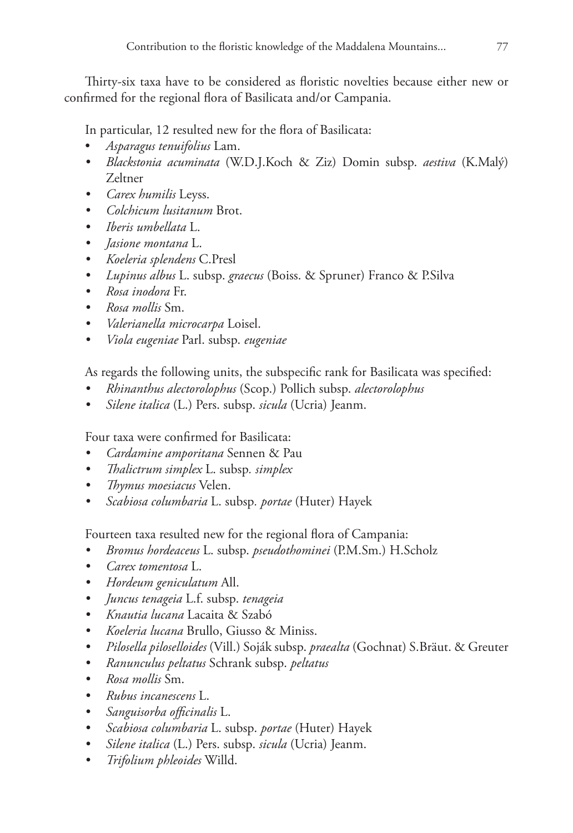Thirty-six taxa have to be considered as floristic novelties because either new or confirmed for the regional flora of Basilicata and/or Campania.

In particular, 12 resulted new for the flora of Basilicata:

- *Asparagus tenuifolius* Lam.
- *• Blackstonia acuminata* (W.D.J.Koch & Ziz) Domin subsp. *aestiva* (K.Malý) Zeltner
- *• Carex humilis* Leyss.
- *• Colchicum lusitanum* Brot.
- *• Iberis umbellata* L.
- *• Jasione montana* L.
- *• Koeleria splendens* C.Presl
- *• Lupinus albus* L. subsp. *graecus* (Boiss. & Spruner) Franco & P.Silva
- *• Rosa inodora* Fr.
- *• Rosa mollis* Sm.
- *• Valerianella microcarpa* Loisel.
- *• Viola eugeniae* Parl. subsp. *eugeniae*

As regards the following units, the subspecific rank for Basilicata was specified:

- *• Rhinanthus alectorolophus* (Scop.) Pollich subsp. *alectorolophus*
- *• Silene italica* (L.) Pers. subsp. *sicula* (Ucria) Jeanm.

Four taxa were confirmed for Basilicata:

- *• Cardamine amporitana* Sennen & Pau
- *• Thalictrum simplex* L. subsp*. simplex*
- *• Thymus moesiacus* Velen.
- *• Scabiosa columbaria* L. subsp*. portae* (Huter) Hayek

Fourteen taxa resulted new for the regional flora of Campania:

- *• Bromus hordeaceus* L. subsp. *pseudothominei* (P.M.Sm.) H.Scholz
- *• Carex tomentosa* L.
- *• Hordeum geniculatum* All.
- *• Juncus tenageia* L.f. subsp. *tenageia*
- *• Knautia lucana* Lacaita & Szabó
- *• Koeleria lucana* Brullo, Giusso & Miniss.
- *• Pilosella piloselloides* (Vill.) Soják subsp. *praealta* (Gochnat) S.Bräut. & Greuter
- *• Ranunculus peltatus* Schrank subsp. *peltatus*
- *• Rosa mollis* Sm.
- *• Rubus incanescens* L.
- *• Sanguisorba officinalis* L.
- *• Scabiosa columbaria* L. subsp. *portae* (Huter) Hayek
- *• Silene italica* (L.) Pers. subsp. *sicula* (Ucria) Jeanm.
- *• Trifolium phleoides* Willd.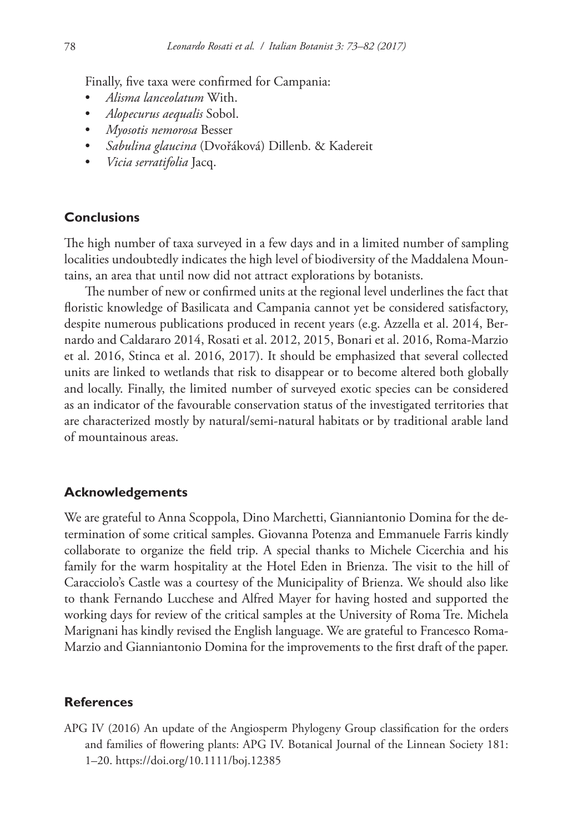Finally, five taxa were confirmed for Campania:

- *Alisma lanceolatum* With.
- *Alopecurus aequalis* Sobol.
- *Myosotis nemorosa* Besser
- *Sabulina glaucina* (Dvořáková) Dillenb. & Kadereit
- *Vicia serratifolia* Jacq.

## **Conclusions**

The high number of taxa surveyed in a few days and in a limited number of sampling localities undoubtedly indicates the high level of biodiversity of the Maddalena Mountains, an area that until now did not attract explorations by botanists.

The number of new or confirmed units at the regional level underlines the fact that floristic knowledge of Basilicata and Campania cannot yet be considered satisfactory, despite numerous publications produced in recent years (e.g. Azzella et al. 2014, Bernardo and Caldararo 2014, Rosati et al. 2012, 2015, Bonari et al. 2016, Roma-Marzio et al. 2016, Stinca et al. 2016, 2017). It should be emphasized that several collected units are linked to wetlands that risk to disappear or to become altered both globally and locally. Finally, the limited number of surveyed exotic species can be considered as an indicator of the favourable conservation status of the investigated territories that are characterized mostly by natural/semi-natural habitats or by traditional arable land of mountainous areas.

## **Acknowledgements**

We are grateful to Anna Scoppola, Dino Marchetti, Gianniantonio Domina for the determination of some critical samples. Giovanna Potenza and Emmanuele Farris kindly collaborate to organize the field trip. A special thanks to Michele Cicerchia and his family for the warm hospitality at the Hotel Eden in Brienza. The visit to the hill of Caracciolo's Castle was a courtesy of the Municipality of Brienza. We should also like to thank Fernando Lucchese and Alfred Mayer for having hosted and supported the working days for review of the critical samples at the University of Roma Tre. Michela Marignani has kindly revised the English language. We are grateful to Francesco Roma-Marzio and Gianniantonio Domina for the improvements to the first draft of the paper.

### **References**

APG IV (2016) An update of the Angiosperm Phylogeny Group classification for the orders and families of flowering plants: APG IV. Botanical Journal of the Linnean Society 181: 1–20.<https://doi.org/10.1111/boj.12385>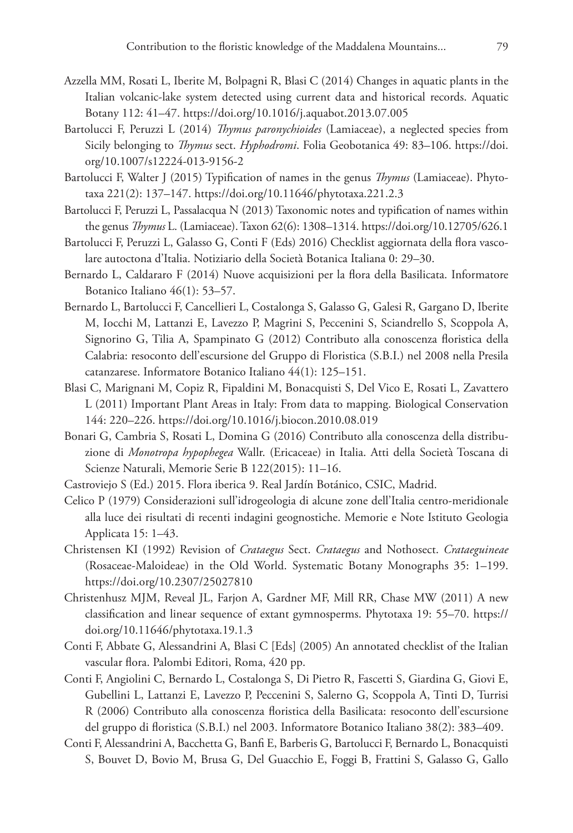- Azzella MM, Rosati L, Iberite M, Bolpagni R, Blasi C (2014) Changes in aquatic plants in the Italian volcanic-lake system detected using current data and historical records. Aquatic Botany 112: 41–47. <https://doi.org/10.1016/j.aquabot.2013.07.005>
- Bartolucci F, Peruzzi L (2014) *Thymus paronychioides* (Lamiaceae), a neglected species from Sicily belonging to *Thymus* sect. *Hyphodromi*. Folia Geobotanica 49: 83–106. [https://doi.](https://doi.org/10.1007/s12224-013-9156-2) [org/10.1007/s12224-013-9156-2](https://doi.org/10.1007/s12224-013-9156-2)
- Bartolucci F, Walter J (2015) Typification of names in the genus *Thymus* (Lamiaceae). Phytotaxa 221(2): 137–147. <https://doi.org/10.11646/phytotaxa.221.2.3>
- Bartolucci F, Peruzzi L, Passalacqua N (2013) Taxonomic notes and typification of names within the genus *Thymus* L. (Lamiaceae). Taxon 62(6): 1308–1314.<https://doi.org/10.12705/626.1>
- Bartolucci F, Peruzzi L, Galasso G, Conti F (Eds) 2016) Checklist aggiornata della flora vascolare autoctona d'Italia. Notiziario della Società Botanica Italiana 0: 29–30.
- Bernardo L, Caldararo F (2014) Nuove acquisizioni per la flora della Basilicata. Informatore Botanico Italiano 46(1): 53–57.
- Bernardo L, Bartolucci F, Cancellieri L, Costalonga S, Galasso G, Galesi R, Gargano D, Iberite M, Iocchi M, Lattanzi E, Lavezzo P, Magrini S, Peccenini S, Sciandrello S, Scoppola A, Signorino G, Tilia A, Spampinato G (2012) Contributo alla conoscenza floristica della Calabria: resoconto dell'escursione del Gruppo di Floristica (S.B.I.) nel 2008 nella Presila catanzarese. Informatore Botanico Italiano 44(1): 125–151.
- Blasi C, Marignani M, Copiz R, Fipaldini M, Bonacquisti S, Del Vico E, Rosati L, Zavattero L (2011) Important Plant Areas in Italy: From data to mapping. Biological Conservation 144: 220–226.<https://doi.org/10.1016/j.biocon.2010.08.019>
- Bonari G, Cambria S, Rosati L, Domina G (2016) Contributo alla conoscenza della distribuzione di *Monotropa hypophegea* Wallr. (Ericaceae) in Italia. Atti della Società Toscana di Scienze Naturali, Memorie Serie B 122(2015): 11–16.
- Castroviejo S (Ed.) 2015. Flora iberica 9. Real Jardín Botánico, CSIC, Madrid.
- Celico P (1979) Considerazioni sull'idrogeologia di alcune zone dell'Italia centro-meridionale alla luce dei risultati di recenti indagini geognostiche. Memorie e Note Istituto Geologia Applicata 15: 1–43.
- Christensen KI (1992) Revision of *Crataegus* Sect. *Crataegus* and Nothosect. *Crataeguineae* (Rosaceae-Maloideae) in the Old World. Systematic Botany Monographs 35: 1–199. <https://doi.org/10.2307/25027810>
- Christenhusz MJM, Reveal JL, Farjon A, Gardner MF, Mill RR, Chase MW (2011) A new classification and linear sequence of extant gymnosperms. Phytotaxa 19: 55–70. [https://](https://doi.org/10.11646/phytotaxa.19.1.3) [doi.org/10.11646/phytotaxa.19.1.3](https://doi.org/10.11646/phytotaxa.19.1.3)
- Conti F, Abbate G, Alessandrini A, Blasi C [Eds] (2005) An annotated checklist of the Italian vascular flora. Palombi Editori, Roma, 420 pp.
- Conti F, Angiolini C, Bernardo L, Costalonga S, Di Pietro R, Fascetti S, Giardina G, Giovi E, Gubellini L, Lattanzi E, Lavezzo P, Peccenini S, Salerno G, Scoppola A, Tinti D, Turrisi R (2006) Contributo alla conoscenza floristica della Basilicata: resoconto dell'escursione del gruppo di floristica (S.B.I.) nel 2003. Informatore Botanico Italiano 38(2): 383–409.
- Conti F, Alessandrini A, Bacchetta G, Banfi E, Barberis G, Bartolucci F, Bernardo L, Bonacquisti S, Bouvet D, Bovio M, Brusa G, Del Guacchio E, Foggi B, Frattini S, Galasso G, Gallo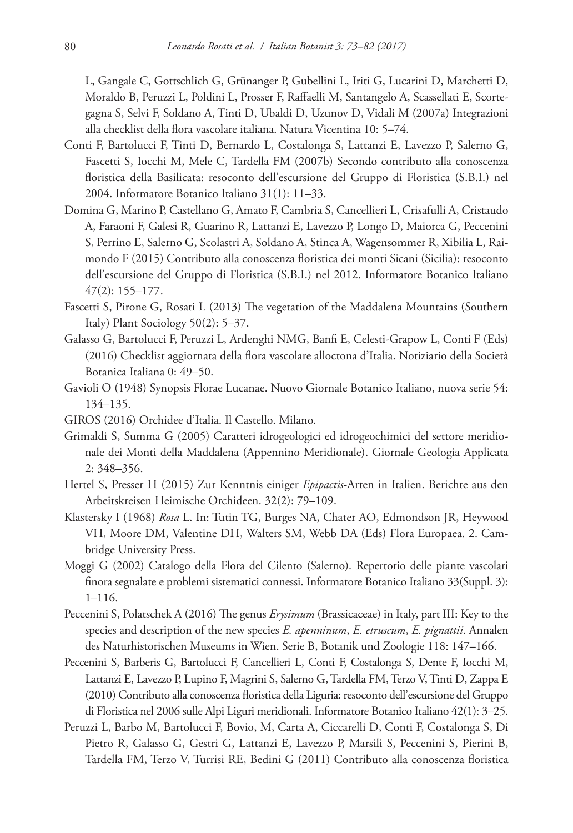L, Gangale C, Gottschlich G, Grünanger P, Gubellini L, Iriti G, Lucarini D, Marchetti D, Moraldo B, Peruzzi L, Poldini L, Prosser F, Raffaelli M, Santangelo A, Scassellati E, Scortegagna S, Selvi F, Soldano A, Tinti D, Ubaldi D, Uzunov D, Vidali M (2007a) Integrazioni alla checklist della flora vascolare italiana. Natura Vicentina 10: 5–74.

- Conti F, Bartolucci F, Tinti D, Bernardo L, Costalonga S, Lattanzi E, Lavezzo P, Salerno G, Fascetti S, Iocchi M, Mele C, Tardella FM (2007b) Secondo contributo alla conoscenza floristica della Basilicata: resoconto dell'escursione del Gruppo di Floristica (S.B.I.) nel 2004. Informatore Botanico Italiano 31(1): 11–33.
- Domina G, Marino P, Castellano G, Amato F, Cambria S, Cancellieri L, Crisafulli A, Cristaudo A, Faraoni F, Galesi R, Guarino R, Lattanzi E, Lavezzo P, Longo D, Maiorca G, Peccenini S, Perrino E, Salerno G, Scolastri A, Soldano A, Stinca A, Wagensommer R, Xibilia L, Raimondo F (2015) Contributo alla conoscenza floristica dei monti Sicani (Sicilia): resoconto dell'escursione del Gruppo di Floristica (S.B.I.) nel 2012. Informatore Botanico Italiano 47(2): 155–177.
- Fascetti S, Pirone G, Rosati L (2013) The vegetation of the Maddalena Mountains (Southern Italy) Plant Sociology 50(2): 5–37.
- Galasso G, Bartolucci F, Peruzzi L, Ardenghi NMG, Banfi E, Celesti-Grapow L, Conti F (Eds) (2016) Checklist aggiornata della flora vascolare alloctona d'Italia. Notiziario della Società Botanica Italiana 0: 49–50.
- Gavioli O (1948) Synopsis Florae Lucanae. Nuovo Giornale Botanico Italiano, nuova serie 54: 134–135.
- GIROS (2016) Orchidee d'Italia. Il Castello. Milano.
- Grimaldi S, Summa G (2005) Caratteri idrogeologici ed idrogeochimici del settore meridionale dei Monti della Maddalena (Appennino Meridionale). Giornale Geologia Applicata 2: 348–356.
- Hertel S, Presser H (2015) Zur Kenntnis einiger *Epipactis*-Arten in Italien. Berichte aus den Arbeitskreisen Heimische Orchideen. 32(2): 79–109.
- Klastersky I (1968) *Rosa* L. In: Tutin TG, Burges NA, Chater AO, Edmondson JR, Heywood VH, Moore DM, Valentine DH, Walters SM, Webb DA (Eds) Flora Europaea. 2. Cambridge University Press.
- Moggi G (2002) Catalogo della Flora del Cilento (Salerno). Repertorio delle piante vascolari finora segnalate e problemi sistematici connessi. Informatore Botanico Italiano 33(Suppl. 3): 1–116.
- Peccenini S, Polatschek A (2016) The genus *Erysimum* (Brassicaceae) in Italy, part III: Key to the species and description of the new species *E. apenninum*, *E. etruscum*, *E. pignattii*. Annalen des Naturhistorischen Museums in Wien. Serie B, Botanik und Zoologie 118: 147–166.
- Peccenini S, Barberis G, Bartolucci F, Cancellieri L, Conti F, Costalonga S, Dente F, Iocchi M, Lattanzi E, Lavezzo P, Lupino F, Magrini S, Salerno G, Tardella FM, Terzo V, Tinti D, Zappa E (2010) Contributo alla conoscenza floristica della Liguria: resoconto dell'escursione del Gruppo di Floristica nel 2006 sulle Alpi Liguri meridionali. Informatore Botanico Italiano 42(1): 3–25.
- Peruzzi L, Barbo M, Bartolucci F, Bovio, M, Carta A, Ciccarelli D, Conti F, Costalonga S, Di Pietro R, Galasso G, Gestri G, Lattanzi E, Lavezzo P, Marsili S, Peccenini S, Pierini B, Tardella FM, Terzo V, Turrisi RE, Bedini G (2011) Contributo alla conoscenza floristica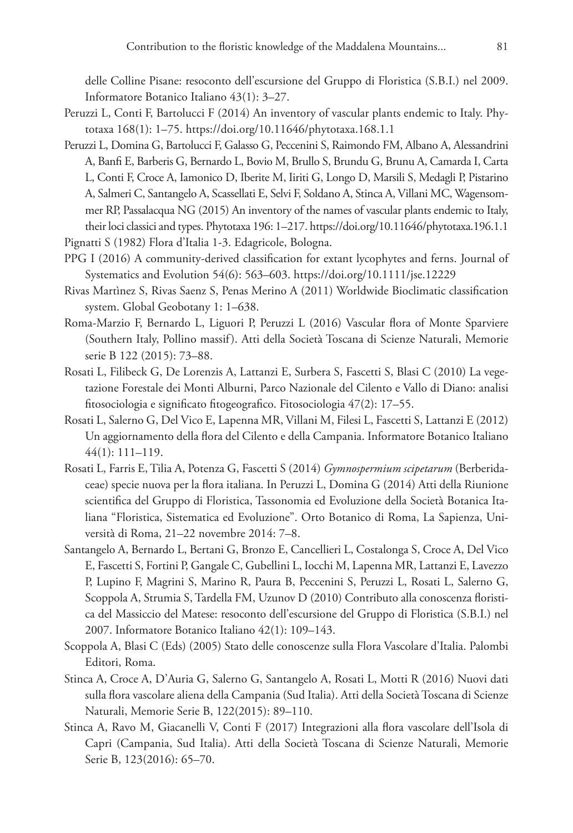delle Colline Pisane: resoconto dell'escursione del Gruppo di Floristica (S.B.I.) nel 2009. Informatore Botanico Italiano 43(1): 3–27.

- Peruzzi L, Conti F, Bartolucci F (2014) An inventory of vascular plants endemic to Italy. Phytotaxa 168(1): 1–75. <https://doi.org/10.11646/phytotaxa.168.1.1>
- Peruzzi L, Domina G, Bartolucci F, Galasso G, Peccenini S, Raimondo FM, Albano A, Alessandrini A, Banfi E, Barberis G, Bernardo L, Bovio M, Brullo S, Brundu G, Brunu A, Camarda I, Carta L, Conti F, Croce A, Iamonico D, Iberite M, Iiriti G, Longo D, Marsili S, Medagli P, Pistarino A, Salmeri C, Santangelo A, Scassellati E, Selvi F, Soldano A, Stinca A, Villani MC, Wagensommer RP, Passalacqua NG (2015) An inventory of the names of vascular plants endemic to Italy, their loci classici and types. Phytotaxa 196: 1–217.<https://doi.org/10.11646/phytotaxa.196.1.1>
- Pignatti S (1982) Flora d'Italia 1-3. Edagricole, Bologna.
- PPG I (2016) A community-derived classification for extant lycophytes and ferns. Journal of Systematics and Evolution 54(6): 563–603. <https://doi.org/10.1111/jse.12229>
- Rivas Martìnez S, Rivas Saenz S, Penas Merino A (2011) Worldwide Bioclimatic classification system. Global Geobotany 1: 1–638.
- Roma-Marzio F, Bernardo L, Liguori P, Peruzzi L (2016) Vascular flora of Monte Sparviere (Southern Italy, Pollino massif). Atti della Società Toscana di Scienze Naturali, Memorie serie B 122 (2015): 73–88.
- Rosati L, Filibeck G, De Lorenzis A, Lattanzi E, Surbera S, Fascetti S, Blasi C (2010) La vegetazione Forestale dei Monti Alburni, Parco Nazionale del Cilento e Vallo di Diano: analisi fitosociologia e significato fitogeografico. Fitosociologia 47(2): 17–55.
- Rosati L, Salerno G, Del Vico E, Lapenna MR, Villani M, Filesi L, Fascetti S, Lattanzi E (2012) Un aggiornamento della flora del Cilento e della Campania. Informatore Botanico Italiano 44(1): 111–119.
- Rosati L, Farris E, Tilia A, Potenza G, Fascetti S (2014) *Gymnospermium scipetarum* (Berberidaceae) specie nuova per la flora italiana. In Peruzzi L, Domina G (2014) Atti della Riunione scientifica del Gruppo di Floristica, Tassonomia ed Evoluzione della Società Botanica Italiana "Floristica, Sistematica ed Evoluzione". Orto Botanico di Roma, La Sapienza, Università di Roma, 21–22 novembre 2014: 7–8.
- Santangelo A, Bernardo L, Bertani G, Bronzo E, Cancellieri L, Costalonga S, Croce A, Del Vico E, Fascetti S, Fortini P, Gangale C, Gubellini L, Iocchi M, Lapenna MR, Lattanzi E, Lavezzo P, Lupino F, Magrini S, Marino R, Paura B, Peccenini S, Peruzzi L, Rosati L, Salerno G, Scoppola A, Strumia S, Tardella FM, Uzunov D (2010) Contributo alla conoscenza floristica del Massiccio del Matese: resoconto dell'escursione del Gruppo di Floristica (S.B.I.) nel 2007. Informatore Botanico Italiano 42(1): 109–143.
- Scoppola A, Blasi C (Eds) (2005) Stato delle conoscenze sulla Flora Vascolare d'Italia. Palombi Editori, Roma.
- Stinca A, Croce A, D'Auria G, Salerno G, Santangelo A, Rosati L, Motti R (2016) Nuovi dati sulla flora vascolare aliena della Campania (Sud Italia). Atti della Società Toscana di Scienze Naturali, Memorie Serie B, 122(2015): 89–110.
- Stinca A, Ravo M, Giacanelli V, Conti F (2017) Integrazioni alla flora vascolare dell'Isola di Capri (Campania, Sud Italia). Atti della Società Toscana di Scienze Naturali, Memorie Serie B, 123(2016): 65–70.